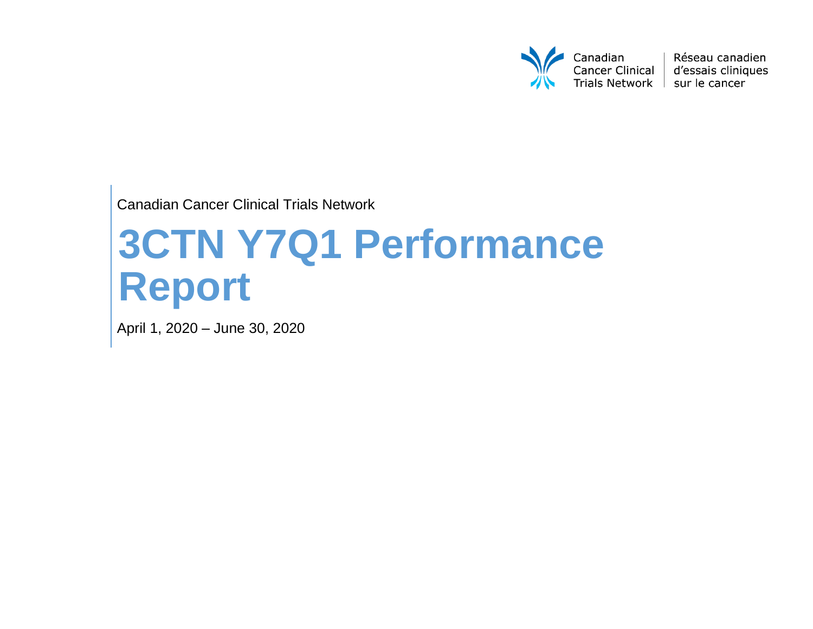

Réseau canadien d'essais cliniques

Canadian Cancer Clinical Trials Network

# **3CTN Y7Q1 Performance Report**

April 1, 2020 – June 30, 2020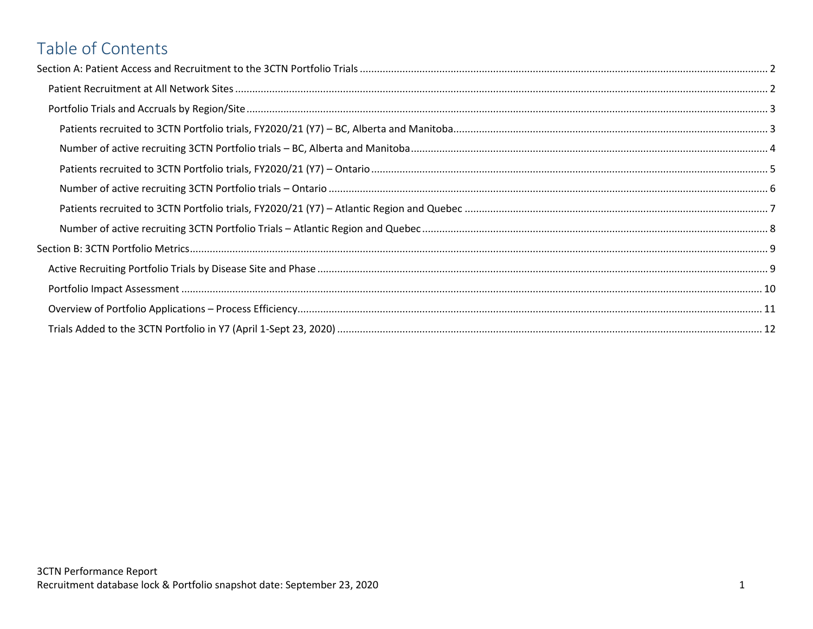# Table of Contents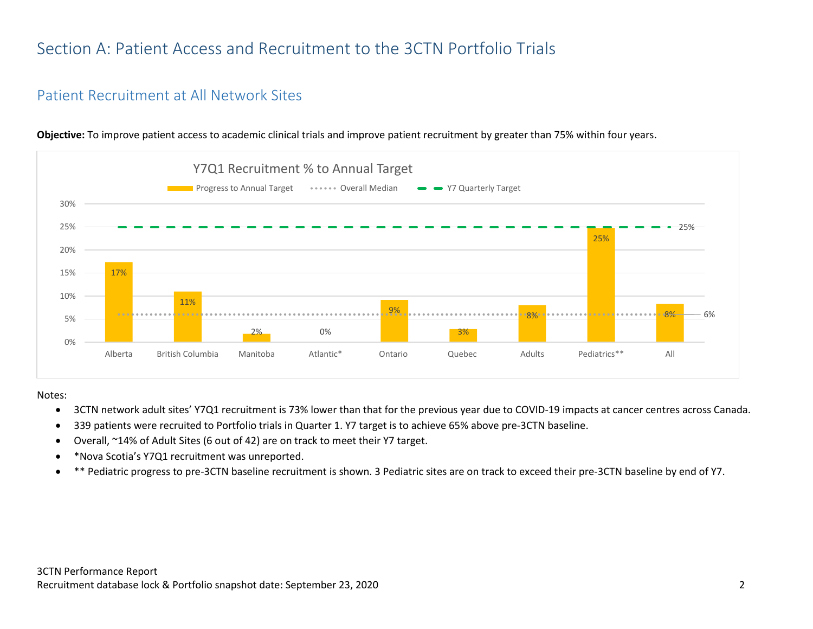# <span id="page-2-0"></span>Section A: Patient Access and Recruitment to the 3CTN Portfolio Trials

#### <span id="page-2-1"></span>Patient Recruitment at All Network Sites



**Objective:** To improve patient access to academic clinical trials and improve patient recruitment by greater than 75% within four years.

#### Notes:

- 3CTN network adult sites' Y7Q1 recruitment is 73% lower than that for the previous year due to COVID-19 impacts at cancer centres across Canada.
- 339 patients were recruited to Portfolio trials in Quarter 1. Y7 target is to achieve 65% above pre-3CTN baseline.
- Overall, ~14% of Adult Sites (6 out of 42) are on track to meet their Y7 target.
- \*Nova Scotia's Y7Q1 recruitment was unreported.
- \*\* Pediatric progress to pre-3CTN baseline recruitment is shown. 3 Pediatric sites are on track to exceed their pre-3CTN baseline by end of Y7.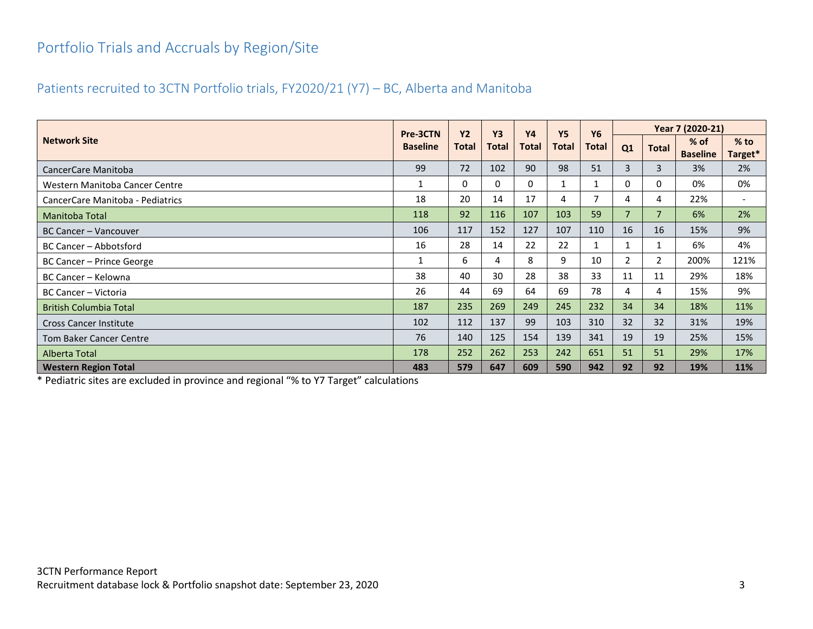## <span id="page-3-0"></span>Portfolio Trials and Accruals by Region/Site

#### <span id="page-3-1"></span>Patients recruited to 3CTN Portfolio trials, FY2020/21 (Y7) – BC, Alberta and Manitoba

|                                  | Pre-3CTN        | <b>Y2</b> | <b>Y3</b> | <b>Y4</b> | <b>Y5</b> | <b>Y6</b> |                |                | Year 7 (2020-21)        |                          |
|----------------------------------|-----------------|-----------|-----------|-----------|-----------|-----------|----------------|----------------|-------------------------|--------------------------|
| <b>Network Site</b>              | <b>Baseline</b> | Total     | Total     | Total     | Total     | Total     | Q1             | <b>Total</b>   | % of<br><b>Baseline</b> | $%$ to<br>Target*        |
| CancerCare Manitoba              | 99              | 72        | 102       | 90        | 98        | 51        | 3              | 3              | 3%                      | 2%                       |
| Western Manitoba Cancer Centre   | $\mathbf{1}$    | 0         | $\Omega$  | $\Omega$  |           |           | $\Omega$       | $\Omega$       | 0%                      | 0%                       |
| CancerCare Manitoba - Pediatrics | 18              | 20        | 14        | 17        | 4         |           | 4              | 4              | 22%                     | $\overline{\phantom{a}}$ |
| <b>Manitoba Total</b>            | 118             | 92        | 116       | 107       | 103       | 59        | $\overline{7}$ | $\overline{7}$ | 6%                      | 2%                       |
| <b>BC Cancer - Vancouver</b>     | 106             | 117       | 152       | 127       | 107       | 110       | 16             | 16             | 15%                     | 9%                       |
| BC Cancer - Abbotsford           | 16              | 28        | 14        | 22        | 22        |           |                | $\mathbf{1}$   | 6%                      | 4%                       |
| BC Cancer - Prince George        | $\mathbf{1}$    | 6.        | 4         | 8         | 9         | 10        | 2              | $\mathbf{2}$   | 200%                    | 121%                     |
| BC Cancer - Kelowna              | 38              | 40        | 30        | 28        | 38        | 33        | 11             | 11             | 29%                     | 18%                      |
| <b>BC Cancer - Victoria</b>      | 26              | 44        | 69        | 64        | 69        | 78        | 4              | 4              | 15%                     | 9%                       |
| <b>British Columbia Total</b>    | 187             | 235       | 269       | 249       | 245       | 232       | 34             | 34             | 18%                     | 11%                      |
| <b>Cross Cancer Institute</b>    | 102             | 112       | 137       | 99        | 103       | 310       | 32             | 32             | 31%                     | 19%                      |
| <b>Tom Baker Cancer Centre</b>   | 76              | 140       | 125       | 154       | 139       | 341       | 19             | 19             | 25%                     | 15%                      |
| Alberta Total                    | 178             | 252       | 262       | 253       | 242       | 651       | 51             | 51             | 29%                     | 17%                      |
| <b>Western Region Total</b>      | 483             | 579       | 647       | 609       | 590       | 942       | 92             | 92             | 19%                     | 11%                      |

\* Pediatric sites are excluded in province and regional "% to Y7 Target" calculations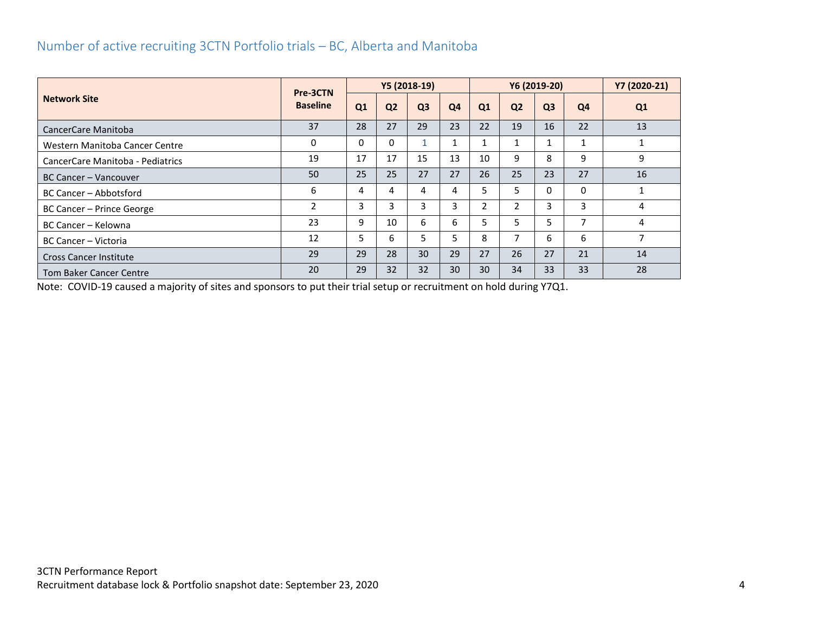#### <span id="page-4-0"></span>Number of active recruiting 3CTN Portfolio trials – BC, Alberta and Manitoba

|                                  | Pre-3CTN        | Y5 (2018-19) |                |                |                | Y6 (2019-20)   |                          |                |                | Y7 (2020-21) |
|----------------------------------|-----------------|--------------|----------------|----------------|----------------|----------------|--------------------------|----------------|----------------|--------------|
| <b>Network Site</b>              | <b>Baseline</b> | Q1           | Q <sub>2</sub> | Q <sub>3</sub> | Q <sub>4</sub> | Q1             | Q <sub>2</sub>           | Q <sub>3</sub> | Q4             | Q1           |
| CancerCare Manitoba              | 37              | 28           | 27             | 29             | 23             | 22             | 19                       | 16             | 22             | 13           |
| Western Manitoba Cancer Centre   | 0               | 0            | 0              |                | 1              |                |                          |                |                |              |
| CancerCare Manitoba - Pediatrics | 19              | 17           | 17             | 15             | 13             | 10             | 9                        | 8              | 9              | 9            |
| <b>BC Cancer - Vancouver</b>     | 50              | 25           | 25             | 27             | 27             | 26             | 25                       | 23             | 27             | 16           |
| <b>BC Cancer - Abbotsford</b>    | 6               | 4            | 4              | 4              | 4              | 5.             | 5                        | 0              | 0              |              |
| BC Cancer - Prince George        | 2               | 3            | 3              | 3              | 3              | $\overline{2}$ | $\overline{2}$           | 3              | 3              | 4            |
| BC Cancer - Kelowna              | 23              | 9            | 10             | 6              | 6              | 5 <sup>1</sup> | 5                        | 5              | $\overline{ }$ | 4            |
| BC Cancer - Victoria             | 12              | 5            | 6              | 5.             | 5              | 8              | $\overline{\phantom{a}}$ | 6              | 6              | 7            |
| <b>Cross Cancer Institute</b>    | 29              | 29           | 28             | 30             | 29             | 27             | 26                       | 27             | 21             | 14           |
| <b>Tom Baker Cancer Centre</b>   | 20              | 29           | 32             | 32             | 30             | 30             | 34                       | 33             | 33             | 28           |

Note: COVID-19 caused a majority of sites and sponsors to put their trial setup or recruitment on hold during Y7Q1.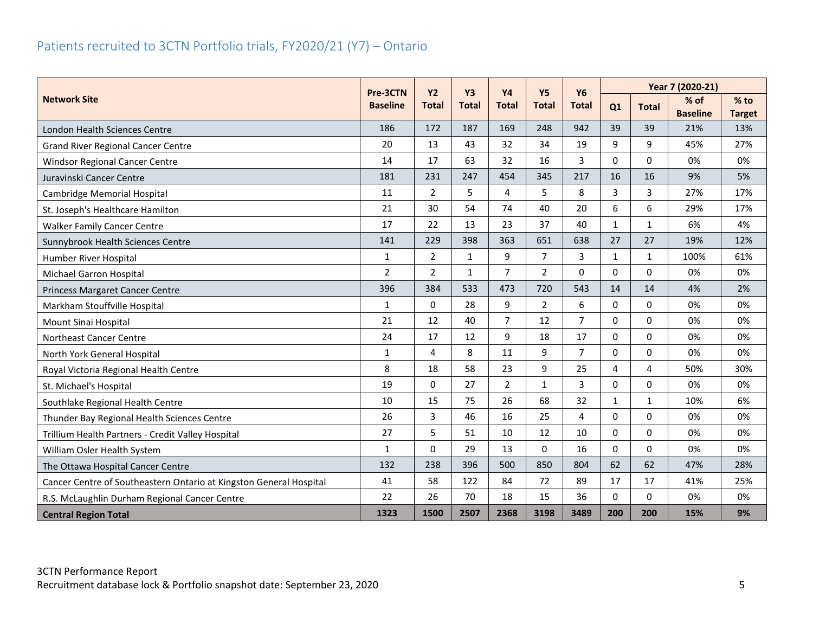## <span id="page-5-0"></span>Patients recruited to 3CTN Portfolio trials, FY2020/21 (Y7) – Ontario

|                                                                    | Pre-3CTN        | Y2             | <b>Y3</b>    | <b>Y4</b>      | <b>Y5</b>      | <b>Y6</b>      | Year 7 (2020-21) |              |                         |                         |  |
|--------------------------------------------------------------------|-----------------|----------------|--------------|----------------|----------------|----------------|------------------|--------------|-------------------------|-------------------------|--|
| <b>Network Site</b>                                                | <b>Baseline</b> | <b>Total</b>   | <b>Total</b> | <b>Total</b>   | <b>Total</b>   | <b>Total</b>   | Q1               | <b>Total</b> | % of<br><b>Baseline</b> | $%$ to<br><b>Target</b> |  |
| London Health Sciences Centre                                      | 186             | 172            | 187          | 169            | 248            | 942            | 39               | 39           | 21%                     | 13%                     |  |
| <b>Grand River Regional Cancer Centre</b>                          | 20              | 13             | 43           | 32             | 34             | 19             | 9                | 9            | 45%                     | 27%                     |  |
| <b>Windsor Regional Cancer Centre</b>                              | 14              | 17             | 63           | 32             | 16             | 3              | $\Omega$         | $\Omega$     | 0%                      | 0%                      |  |
| Juravinski Cancer Centre                                           | 181             | 231            | 247          | 454            | 345            | 217            | 16               | 16           | 9%                      | 5%                      |  |
| <b>Cambridge Memorial Hospital</b>                                 | 11              | $\overline{2}$ | 5            | 4              | 5              | 8              | $\overline{3}$   | 3            | 27%                     | 17%                     |  |
| St. Joseph's Healthcare Hamilton                                   | 21              | 30             | 54           | 74             | 40             | 20             | 6                | 6            | 29%                     | 17%                     |  |
| <b>Walker Family Cancer Centre</b>                                 | 17              | 22             | 13           | 23             | 37             | 40             | $\mathbf{1}$     | $\mathbf{1}$ | 6%                      | 4%                      |  |
| Sunnybrook Health Sciences Centre                                  | 141             | 229            | 398          | 363            | 651            | 638            | 27               | 27           | 19%                     | 12%                     |  |
| Humber River Hospital                                              | $\mathbf{1}$    | $\overline{2}$ | $\mathbf{1}$ | 9              | $\overline{7}$ | 3              | $\mathbf{1}$     | $\mathbf{1}$ | 100%                    | 61%                     |  |
| <b>Michael Garron Hospital</b>                                     | $\overline{2}$  | $\overline{2}$ | $\mathbf{1}$ | $\overline{7}$ | $\overline{2}$ | $\Omega$       | $\Omega$         | $\Omega$     | 0%                      | 0%                      |  |
| Princess Margaret Cancer Centre                                    | 396             | 384            | 533          | 473            | 720            | 543            | 14               | 14           | 4%                      | 2%                      |  |
| Markham Stouffville Hospital                                       | $\mathbf{1}$    | 0              | 28           | 9              | $\overline{2}$ | 6              | $\mathbf{0}$     | $\mathbf 0$  | 0%                      | 0%                      |  |
| Mount Sinai Hospital                                               | 21              | 12             | 40           | $\overline{7}$ | 12             | $\overline{7}$ | $\Omega$         | $\Omega$     | 0%                      | 0%                      |  |
| Northeast Cancer Centre                                            | 24              | 17             | 12           | 9              | 18             | 17             | $\Omega$         | $\Omega$     | 0%                      | 0%                      |  |
| North York General Hospital                                        | $\mathbf{1}$    | 4              | 8            | 11             | 9              | $\overline{7}$ | 0                | 0            | 0%                      | 0%                      |  |
| Royal Victoria Regional Health Centre                              | 8               | 18             | 58           | 23             | 9              | 25             | $\overline{4}$   | 4            | 50%                     | 30%                     |  |
| St. Michael's Hospital                                             | 19              | $\Omega$       | 27           | $\overline{2}$ | $\mathbf{1}$   | 3              | $\Omega$         | $\Omega$     | 0%                      | 0%                      |  |
| Southlake Regional Health Centre                                   | 10              | 15             | 75           | 26             | 68             | 32             | $\mathbf{1}$     | $\mathbf{1}$ | 10%                     | 6%                      |  |
| Thunder Bay Regional Health Sciences Centre                        | 26              | 3              | 46           | 16             | 25             | 4              | $\Omega$         | 0            | 0%                      | 0%                      |  |
| Trillium Health Partners - Credit Valley Hospital                  | 27              | 5              | 51           | 10             | 12             | 10             | 0                | 0            | 0%                      | 0%                      |  |
| William Osler Health System                                        | $\mathbf{1}$    | 0              | 29           | 13             | $\Omega$       | 16             | $\Omega$         | $\Omega$     | 0%                      | 0%                      |  |
| The Ottawa Hospital Cancer Centre                                  | 132             | 238            | 396          | 500            | 850            | 804            | 62               | 62           | 47%                     | 28%                     |  |
| Cancer Centre of Southeastern Ontario at Kingston General Hospital | 41              | 58             | 122          | 84             | 72             | 89             | 17               | 17           | 41%                     | 25%                     |  |
| R.S. McLaughlin Durham Regional Cancer Centre                      | 22              | 26             | 70           | 18             | 15             | 36             | $\mathbf{0}$     | $\Omega$     | 0%                      | 0%                      |  |
| <b>Central Region Total</b>                                        | 1323            | 1500           | 2507         | 2368           | 3198           | 3489           | 200              | 200          | 15%                     | 9%                      |  |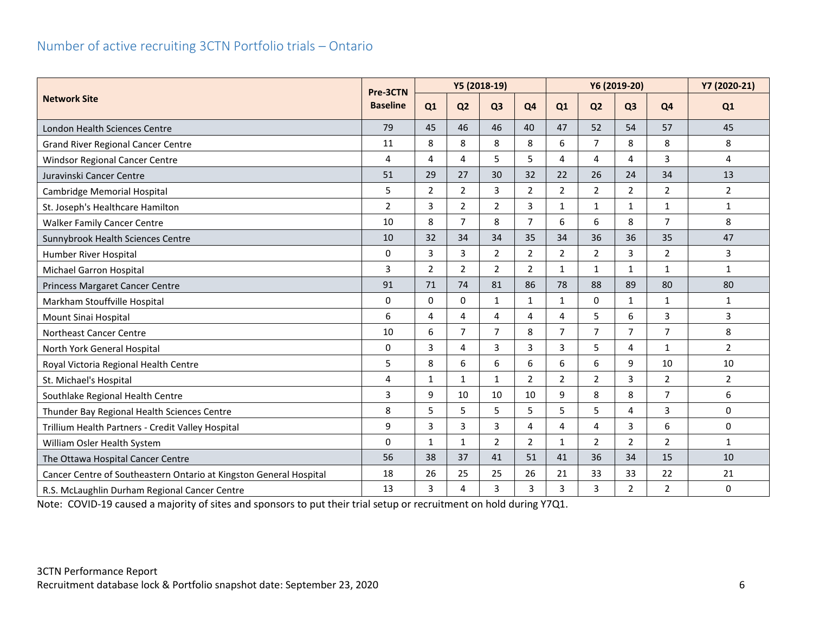#### <span id="page-6-0"></span>Number of active recruiting 3CTN Portfolio trials – Ontario

|                                                                    |                             |                |                | Y5 (2018-19)   |                | Y6 (2019-20)   |                |                |                | Y7 (2020-21)            |
|--------------------------------------------------------------------|-----------------------------|----------------|----------------|----------------|----------------|----------------|----------------|----------------|----------------|-------------------------|
| <b>Network Site</b>                                                | Pre-3CTN<br><b>Baseline</b> | Q1             | Q <sub>2</sub> | Q <sub>3</sub> | Q <sub>4</sub> | Q1             | Q <sub>2</sub> | Q <sub>3</sub> | Q <sub>4</sub> | Q1                      |
| <b>London Health Sciences Centre</b>                               | 79                          | 45             | 46             | 46             | 40             | 47             | 52             | 54             | 57             | 45                      |
| <b>Grand River Regional Cancer Centre</b>                          | 11                          | 8              | 8              | 8              | 8              | 6              | $\overline{7}$ | 8              | 8              | 8                       |
| Windsor Regional Cancer Centre                                     | 4                           | 4              | 4              | 5              | 5              | 4              | 4              | 4              | 3              | $\overline{\mathbf{4}}$ |
| Juravinski Cancer Centre                                           | 51                          | 29             | 27             | 30             | 32             | 22             | 26             | 24             | 34             | 13                      |
| Cambridge Memorial Hospital                                        | 5                           | $\overline{2}$ | $\overline{2}$ | 3              | $\overline{2}$ | $\overline{2}$ | $\overline{2}$ | $\overline{2}$ | $\overline{2}$ | $\overline{2}$          |
| St. Joseph's Healthcare Hamilton                                   | $\overline{2}$              | 3              | $\overline{2}$ | $\overline{2}$ | 3              | 1              | $\mathbf{1}$   | 1              | $\mathbf{1}$   | $\mathbf{1}$            |
| <b>Walker Family Cancer Centre</b>                                 | 10                          | 8              | $\overline{7}$ | 8              | $\overline{7}$ | 6              | 6              | 8              | $\overline{7}$ | 8                       |
| Sunnybrook Health Sciences Centre                                  | 10                          | 32             | 34             | 34             | 35             | 34             | 36             | 36             | 35             | 47                      |
| Humber River Hospital                                              | 0                           | 3              | 3              | $\overline{2}$ | $\overline{2}$ | $\overline{2}$ | $\overline{2}$ | 3              | $\overline{2}$ | 3                       |
| Michael Garron Hospital                                            | 3                           | 2              | $\overline{2}$ | $\overline{2}$ | $\overline{2}$ | $\mathbf{1}$   | $\mathbf{1}$   | $\mathbf{1}$   | $\mathbf{1}$   | $\mathbf{1}$            |
| Princess Margaret Cancer Centre                                    | 91                          | 71             | 74             | 81             | 86             | 78             | 88             | 89             | 80             | 80                      |
| Markham Stouffville Hospital                                       | $\Omega$                    | $\Omega$       | $\Omega$       | $\mathbf{1}$   | $\mathbf{1}$   | $\mathbf{1}$   | $\Omega$       | $\mathbf{1}$   | $\mathbf{1}$   | $\mathbf{1}$            |
| Mount Sinai Hospital                                               | 6                           | 4              | 4              | 4              | 4              | 4              | 5              | 6              | 3              | 3                       |
| Northeast Cancer Centre                                            | 10                          | 6              | $\overline{7}$ | $\overline{7}$ | 8              | $\overline{7}$ | $\overline{7}$ | $\overline{7}$ | 7              | 8                       |
| North York General Hospital                                        | 0                           | 3              | 4              | 3              | 3              | 3              | 5              | 4              | $\mathbf{1}$   | $\overline{2}$          |
| Royal Victoria Regional Health Centre                              | 5                           | 8              | 6              | 6              | 6              | 6              | 6              | 9              | 10             | 10                      |
| St. Michael's Hospital                                             | 4                           | $\mathbf{1}$   | $\mathbf{1}$   | $\mathbf{1}$   | $\overline{2}$ | $\overline{2}$ | $\overline{2}$ | 3              | $\overline{2}$ | $\overline{2}$          |
| Southlake Regional Health Centre                                   | 3                           | 9              | 10             | 10             | 10             | 9              | 8              | 8              | $\overline{7}$ | 6                       |
| Thunder Bay Regional Health Sciences Centre                        | 8                           | 5              | 5              | 5              | 5              | 5              | 5              | 4              | 3              | $\mathbf 0$             |
| Trillium Health Partners - Credit Valley Hospital                  | 9                           | $\overline{3}$ | 3              | 3              | 4              | 4              | $\overline{4}$ | 3              | 6              | $\mathbf 0$             |
| William Osler Health System                                        | $\Omega$                    | $\mathbf 1$    | $\mathbf{1}$   | $\overline{2}$ | $\overline{2}$ | 1              | $\overline{2}$ | $\overline{2}$ | $\overline{2}$ | $\mathbf{1}$            |
| The Ottawa Hospital Cancer Centre                                  | 56                          | 38             | 37             | 41             | 51             | 41             | 36             | 34             | 15             | 10                      |
| Cancer Centre of Southeastern Ontario at Kingston General Hospital | 18                          | 26             | 25             | 25             | 26             | 21             | 33             | 33             | 22             | 21                      |
| R.S. McLaughlin Durham Regional Cancer Centre                      | 13                          | 3              | 4              | 3              | 3              | 3              | 3              | $\overline{2}$ | $\overline{2}$ | $\mathbf 0$             |

Note: COVID-19 caused a majority of sites and sponsors to put their trial setup or recruitment on hold during Y7Q1.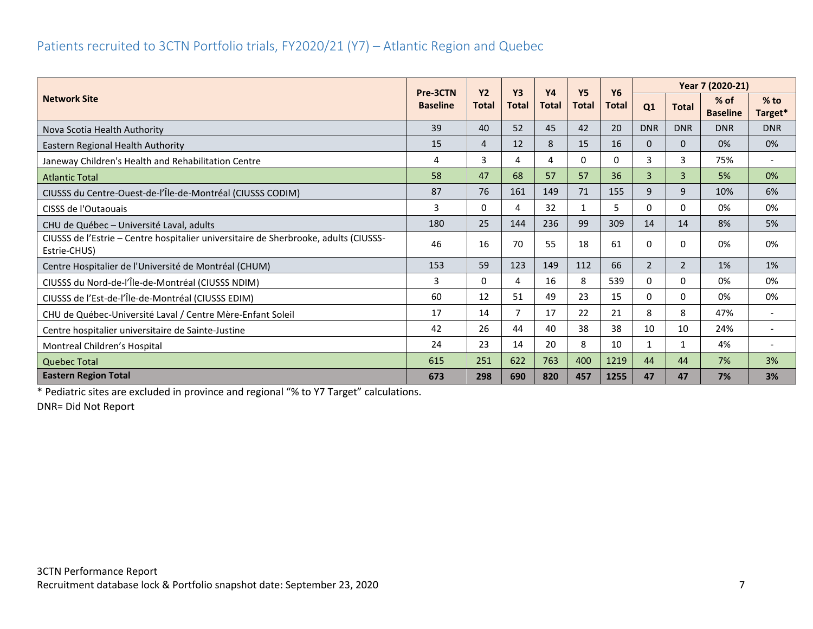#### <span id="page-7-0"></span>Patients recruited to 3CTN Portfolio trials, FY2020/21 (Y7) – Atlantic Region and Quebec

|                                                                                                      | Pre-3CTN                        | <b>Y2</b> | <b>Y3</b>    | <b>Y4</b>    | <b>Y5</b>    | <b>Y6</b>    |                |                | Year 7 (2020-21)          |                          |
|------------------------------------------------------------------------------------------------------|---------------------------------|-----------|--------------|--------------|--------------|--------------|----------------|----------------|---------------------------|--------------------------|
| <b>Network Site</b>                                                                                  | <b>Baseline</b><br><b>Total</b> |           | <b>Total</b> | <b>Total</b> | <b>Total</b> | <b>Total</b> | Q1             | <b>Total</b>   | $%$ of<br><b>Baseline</b> | $%$ to<br>Target*        |
| Nova Scotia Health Authority                                                                         | 39                              | 40        | 52           | 45           | 42           | 20           | <b>DNR</b>     | <b>DNR</b>     | <b>DNR</b>                | <b>DNR</b>               |
| Eastern Regional Health Authority                                                                    | 15                              | 4         | 12           | 8            | 15           | 16           | 0              | $\Omega$       | 0%                        | 0%                       |
| Janeway Children's Health and Rehabilitation Centre                                                  | 4                               | 3         | 4            | 4            | 0            | 0            | 3              | 3              | 75%                       | $\overline{\phantom{a}}$ |
| <b>Atlantic Total</b>                                                                                | 58                              | 47        | 68           | 57           | 57           | 36           | 3              | $\mathbf{3}$   | 5%                        | 0%                       |
| CIUSSS du Centre-Ouest-de-l'Île-de-Montréal (CIUSSS CODIM)                                           | 87                              | 76        | 161          | 149          | 71           | 155          | 9              | 9              | 10%                       | 6%                       |
| CISSS de l'Outaouais                                                                                 | 3                               | 0         | 4            | 32           | $\mathbf{1}$ | 5            | 0              | 0              | 0%                        | 0%                       |
| CHU de Québec - Université Laval, adults                                                             | 180                             | 25        | 144          | 236          | 99           | 309          | 14             | 14             | 8%                        | 5%                       |
| CIUSSS de l'Estrie - Centre hospitalier universitaire de Sherbrooke, adults (CIUSSS-<br>Estrie-CHUS) | 46                              | 16        | 70           | 55           | 18           | 61           | 0              | 0              | 0%                        | 0%                       |
| Centre Hospitalier de l'Université de Montréal (CHUM)                                                | 153                             | 59        | 123          | 149          | 112          | 66           | $\overline{2}$ | $\overline{2}$ | 1%                        | 1%                       |
| CIUSSS du Nord-de-l'Île-de-Montréal (CIUSSS NDIM)                                                    | 3                               | 0         | 4            | 16           | 8            | 539          | 0              | 0              | 0%                        | 0%                       |
| CIUSSS de l'Est-de-l'Île-de-Montréal (CIUSSS EDIM)                                                   | 60                              | 12        | 51           | 49           | 23           | 15           | 0              | $\Omega$       | 0%                        | 0%                       |
| CHU de Québec-Université Laval / Centre Mère-Enfant Soleil                                           | 17                              | 14        | 7            | 17           | 22           | 21           | 8              | 8              | 47%                       | $\overline{\phantom{a}}$ |
| Centre hospitalier universitaire de Sainte-Justine                                                   | 42                              | 26        | 44           | 40           | 38           | 38           | 10             | 10             | 24%                       |                          |
| Montreal Children's Hospital                                                                         | 24                              | 23        | 14           | 20           | 8            | 10           | 1              |                | 4%                        |                          |
| <b>Quebec Total</b>                                                                                  | 615                             | 251       | 622          | 763          | 400          | 1219         | 44             | 44             | 7%                        | 3%                       |
| <b>Eastern Region Total</b>                                                                          | 673                             | 298       | 690          | 820          | 457          | 1255         | 47             | 47             | 7%                        | 3%                       |

\* Pediatric sites are excluded in province and regional "% to Y7 Target" calculations.

DNR= Did Not Report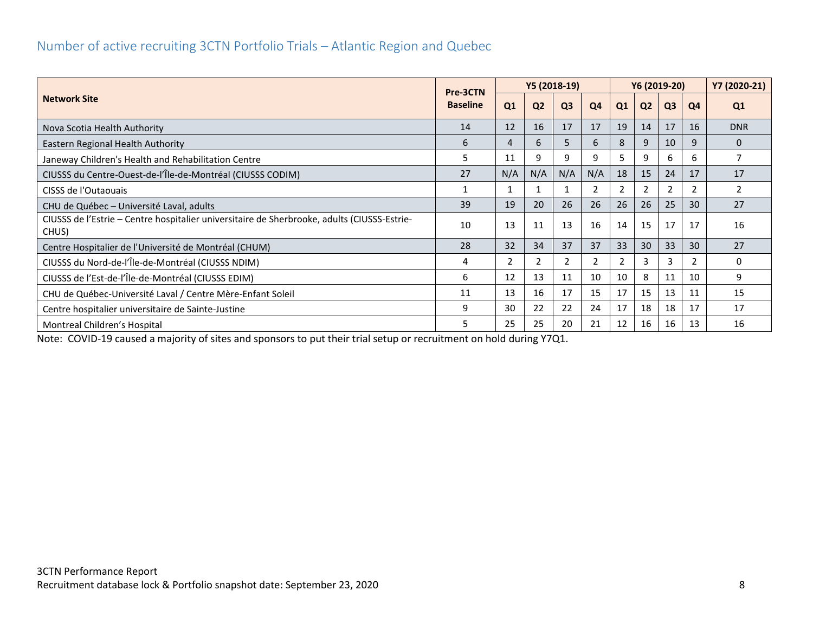#### <span id="page-8-0"></span>Number of active recruiting 3CTN Portfolio Trials – Atlantic Region and Quebec

|                                                                                                      |                             |     | Y5 (2018-19)   |                       |                | Y6 (2019-20) |                |                |    | Y7 (2020-21)   |
|------------------------------------------------------------------------------------------------------|-----------------------------|-----|----------------|-----------------------|----------------|--------------|----------------|----------------|----|----------------|
| <b>Network Site</b>                                                                                  | Pre-3CTN<br><b>Baseline</b> | Q1  | Q <sub>2</sub> | Q <sub>3</sub>        | Q <sub>4</sub> | Q1           | Q <sub>2</sub> | Q <sub>3</sub> | Q4 | Q <sub>1</sub> |
| Nova Scotia Health Authority                                                                         | 14                          | 12  | 16             | 17                    | 17             | 19           | 14             | 17             | 16 | <b>DNR</b>     |
| Eastern Regional Health Authority                                                                    | 6                           | 4   | 6              | 5                     | 6              | 8            | 9              | 10             | 9  | $\Omega$       |
| Janeway Children's Health and Rehabilitation Centre                                                  | 5                           | 11  | 9              | 9                     | 9              | 5            | 9              | 6              | 6. |                |
| CIUSSS du Centre-Ouest-de-l'Île-de-Montréal (CIUSSS CODIM)                                           | 27                          | N/A | N/A            | N/A                   | N/A            | 18           | 15             | 24             | 17 | 17             |
| CISSS de l'Outaouais                                                                                 |                             |     |                |                       | 2              | 2            |                | 2              |    | 2              |
| CHU de Québec - Université Laval, adults                                                             | 39                          | 19  | 20             | 26                    | 26             | 26           | 26             | 25             | 30 | 27             |
| CIUSSS de l'Estrie – Centre hospitalier universitaire de Sherbrooke, adults (CIUSSS-Estrie-<br>CHUS) | 10                          | 13  | 11             | 13                    | 16             | 14           | 15             | 17             | 17 | 16             |
| Centre Hospitalier de l'Université de Montréal (CHUM)                                                | 28                          | 32  | 34             | 37                    | 37             | 33           | 30             | 33             | 30 | 27             |
| CIUSSS du Nord-de-l'Île-de-Montréal (CIUSSS NDIM)                                                    | 4                           | 2   |                | $\mathbf{2}^{\prime}$ | 2              | 2            | 3              | 3              |    | 0              |
| CIUSSS de l'Est-de-l'Île-de-Montréal (CIUSSS EDIM)                                                   | 6                           | 12  | 13             | 11                    | 10             | 10           | 8              | 11             | 10 | 9              |
| CHU de Québec-Université Laval / Centre Mère-Enfant Soleil                                           | 11                          | 13  | 16             | 17                    | 15             | 17           | 15             | 13             | 11 | 15             |
| Centre hospitalier universitaire de Sainte-Justine                                                   | 9                           | 30  | 22             | 22                    | 24             | 17           | 18             | 18             | 17 | 17             |
| Montreal Children's Hospital                                                                         | 5                           | 25  | 25             | 20                    | 21             | 12           | 16             | 16             | 13 | 16             |

Note: COVID-19 caused a majority of sites and sponsors to put their trial setup or recruitment on hold during Y7Q1.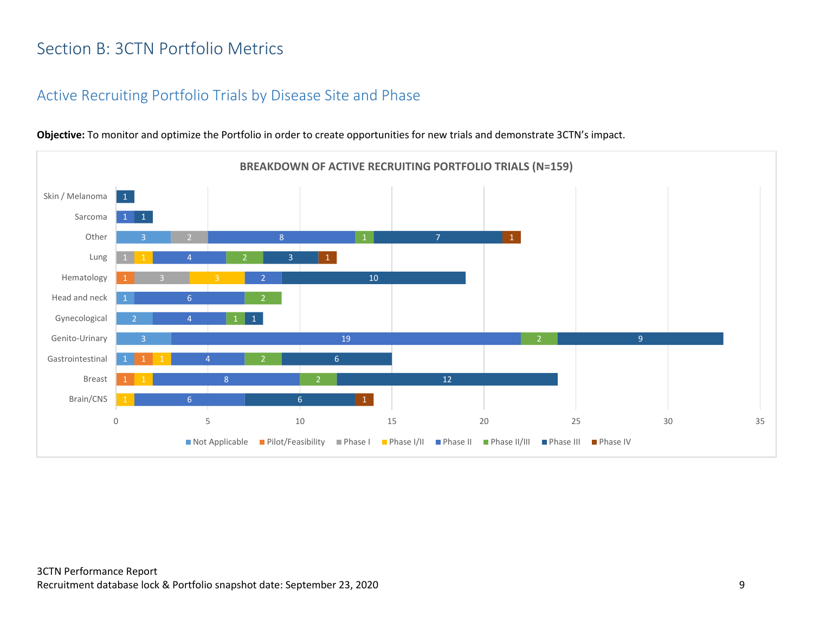## <span id="page-9-0"></span>Section B: 3CTN Portfolio Metrics

#### <span id="page-9-1"></span>Active Recruiting Portfolio Trials by Disease Site and Phase



**Objective:** To monitor and optimize the Portfolio in order to create opportunities for new trials and demonstrate 3CTN's impact.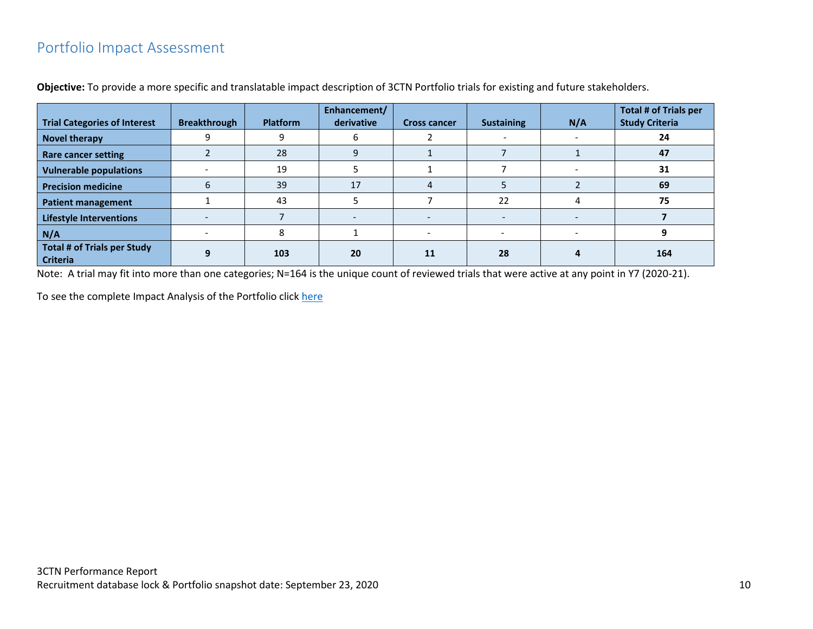## <span id="page-10-0"></span>Portfolio Impact Assessment

|                                                       |                     |                 | Enhancement/ |                     |                   |     | <b>Total # of Trials per</b> |
|-------------------------------------------------------|---------------------|-----------------|--------------|---------------------|-------------------|-----|------------------------------|
| <b>Trial Categories of Interest</b>                   | <b>Breakthrough</b> | <b>Platform</b> | derivative   | <b>Cross cancer</b> | <b>Sustaining</b> | N/A | <b>Study Criteria</b>        |
| <b>Novel therapy</b>                                  |                     |                 |              |                     |                   |     | 24                           |
| <b>Rare cancer setting</b>                            |                     | 28              |              |                     |                   |     | 47                           |
| <b>Vulnerable populations</b>                         |                     | 19              |              |                     |                   |     | 31                           |
| <b>Precision medicine</b>                             | b                   | 39              | 17           | 4                   |                   |     | 69                           |
| <b>Patient management</b>                             |                     | 43              |              |                     | 22                |     | 75                           |
| <b>Lifestyle Interventions</b>                        |                     |                 |              |                     |                   |     |                              |
| N/A                                                   |                     |                 |              |                     |                   |     |                              |
| <b>Total # of Trials per Study</b><br><b>Criteria</b> | q                   | 103             | 20           | 11                  | 28                |     | 164                          |

**Objective:** To provide a more specific and translatable impact description of 3CTN Portfolio trials for existing and future stakeholders.

Note: A trial may fit into more than one categories; N=164 is the unique count of reviewed trials that were active at any point in Y7 (2020-21).

To see the complete Impact Analysis of the Portfolio click [here](https://app.powerbi.com/view?r=eyJrIjoiMTdjZDM0ZjAtOWIzMC00OTdkLThkNDEtYzdmYzcyY2FiNjQ0IiwidCI6IjlkZjk0OWY4LWE2ZWItNDE5ZC05Y2FhLTFmOGM4M2RiNjc0ZiJ9)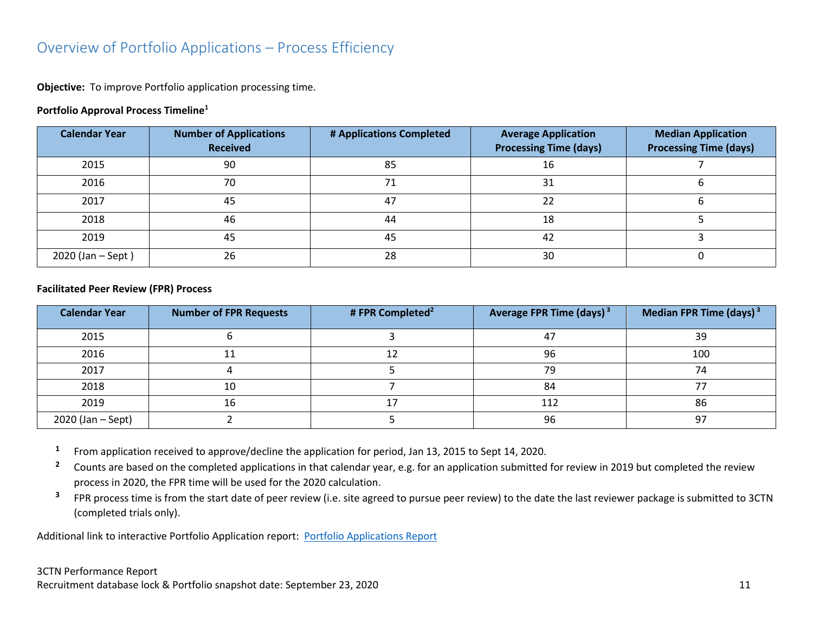### <span id="page-11-0"></span>Overview of Portfolio Applications – Process Efficiency

**Objective:** To improve Portfolio application processing time.

#### **Portfolio Approval Process Timeline<sup>1</sup>**

| <b>Calendar Year</b> | <b>Number of Applications</b><br><b>Received</b> | # Applications Completed | <b>Average Application</b><br><b>Processing Time (days)</b> | <b>Median Application</b><br><b>Processing Time (days)</b> |
|----------------------|--------------------------------------------------|--------------------------|-------------------------------------------------------------|------------------------------------------------------------|
| 2015                 | 90                                               | 85                       | 16                                                          |                                                            |
| 2016                 | 70                                               |                          | 31                                                          |                                                            |
| 2017                 | 45                                               | 47                       | 22                                                          |                                                            |
| 2018                 | 46                                               | 44                       | 18                                                          |                                                            |
| 2019                 | 45                                               | 45                       | 42                                                          |                                                            |
| 2020 (Jan - Sept)    | 26                                               | 28                       | 30                                                          |                                                            |

#### **Facilitated Peer Review (FPR) Process**

| <b>Calendar Year</b> | <b>Number of FPR Requests</b> | # FPR Completed <sup>2</sup> | Average FPR Time (days) <sup>3</sup> | Median FPR Time (days) $3$ |
|----------------------|-------------------------------|------------------------------|--------------------------------------|----------------------------|
| 2015                 |                               |                              | 47                                   | 39                         |
| 2016                 |                               |                              | 96                                   | 100                        |
| 2017                 |                               |                              | 79                                   | 74                         |
| 2018                 | 10                            |                              | 84                                   |                            |
| 2019                 | 16                            |                              | 112                                  | 86                         |
| 2020 (Jan – Sept)    |                               |                              | 96                                   | 97                         |

- **1** From application received to approve/decline the application for period, Jan 13, 2015 to Sept 14, 2020.
- <sup>2</sup> Counts are based on the completed applications in that calendar year, e.g. for an application submitted for review in 2019 but completed the review process in 2020, the FPR time will be used for the 2020 calculation.
- **3** FPR process time is from the start date of peer review (i.e. site agreed to pursue peer review) to the date the last reviewer package is submitted to 3CTN (completed trials only).

Additional link to interactive Portfolio Application report: [Portfolio Applications Report](https://app.powerbi.com/view?r=eyJrIjoiNDkxODMzYTctYjhkZi00MjhkLWJiNzMtMjcyYmU2MmE4MjM5IiwidCI6IjlkZjk0OWY4LWE2ZWItNDE5ZC05Y2FhLTFmOGM4M2RiNjc0ZiJ9)

#### 3CTN Performance Report Recruitment database lock & Portfolio snapshot date: September 23, 2020 11 and the state of the state of the state of the state of the state of the state of the state of the state of the state of the state of the state of